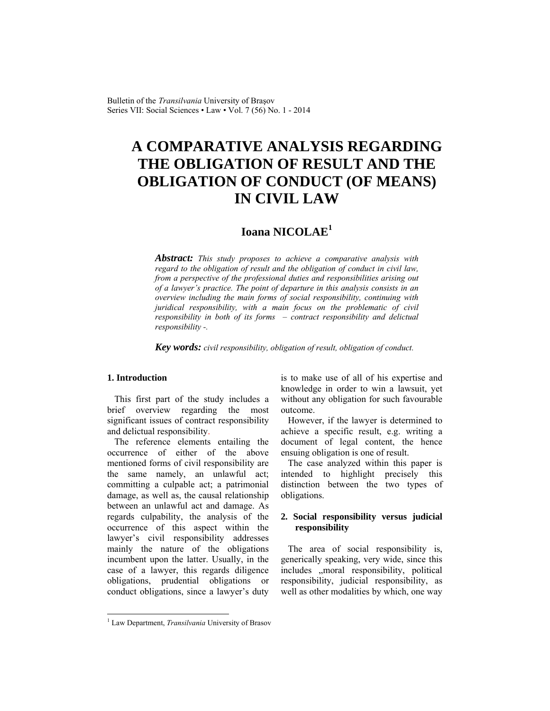# **A COMPARATIVE ANALYSIS REGARDING THE OBLIGATION OF RESULT AND THE OBLIGATION OF CONDUCT (OF MEANS) IN CIVIL LAW**

# **Ioana NICOLAE<sup>1</sup>**

*Abstract: This study proposes to achieve a comparative analysis with regard to the obligation of result and the obligation of conduct in civil law, from a perspective of the professional duties and responsibilities arising out of a lawyer's practice. The point of departure in this analysis consists in an overview including the main forms of social responsibility, continuing with juridical responsibility, with a main focus on the problematic of civil responsibility in both of its forms – contract responsibility and delictual responsibility -.* 

*Key words: civil responsibility, obligation of result, obligation of conduct.*

#### **1. Introduction**

l

This first part of the study includes a brief overview regarding the most significant issues of contract responsibility and delictual responsibility.

The reference elements entailing the occurrence of either of the above mentioned forms of civil responsibility are the same namely, an unlawful act; committing a culpable act; a patrimonial damage, as well as, the causal relationship between an unlawful act and damage. As regards culpability, the analysis of the occurrence of this aspect within the lawyer's civil responsibility addresses mainly the nature of the obligations incumbent upon the latter. Usually, in the case of a lawyer, this regards diligence obligations, prudential obligations or conduct obligations, since a lawyer's duty

is to make use of all of his expertise and knowledge in order to win a lawsuit, yet without any obligation for such favourable outcome.

However, if the lawyer is determined to achieve a specific result, e.g. writing a document of legal content, the hence ensuing obligation is one of result.

The case analyzed within this paper is intended to highlight precisely this distinction between the two types of obligations.

# **2. Social responsibility versus judicial responsibility**

The area of social responsibility is, generically speaking, very wide, since this includes , moral responsibility, political responsibility, judicial responsibility, as well as other modalities by which, one way

<sup>1</sup> Law Department, *Transilvania* University of Brasov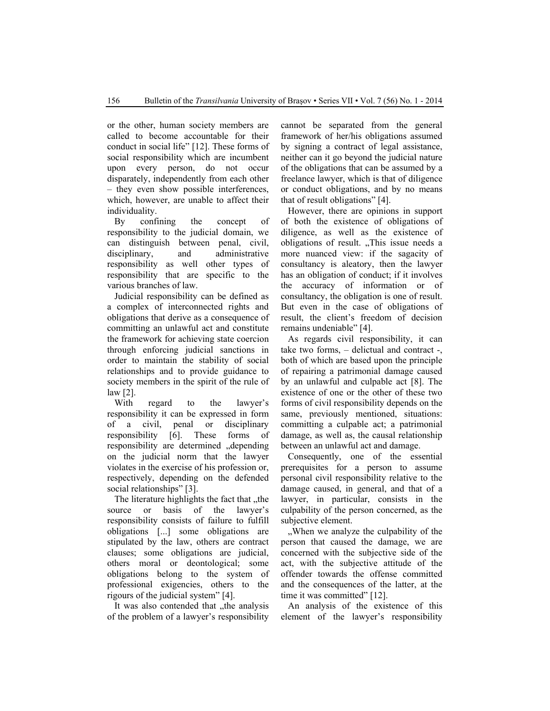or the other, human society members are called to become accountable for their conduct in social life" [12]. These forms of social responsibility which are incumbent upon every person, do not occur disparately, independently from each other – they even show possible interferences, which, however, are unable to affect their individuality.

By confining the concept of responsibility to the judicial domain, we can distinguish between penal, civil, disciplinary, and administrative responsibility as well other types of responsibility that are specific to the various branches of law.

Judicial responsibility can be defined as a complex of interconnected rights and obligations that derive as a consequence of committing an unlawful act and constitute the framework for achieving state coercion through enforcing judicial sanctions in order to maintain the stability of social relationships and to provide guidance to society members in the spirit of the rule of law [2].

With regard to the lawyer's responsibility it can be expressed in form of a civil, penal or disciplinary responsibility [6]. These forms of responsibility are determined "depending on the judicial norm that the lawyer violates in the exercise of his profession or, respectively, depending on the defended social relationships" [3].

The literature highlights the fact that "the source or basis of the lawyer's responsibility consists of failure to fulfill obligations [...] some obligations are stipulated by the law, others are contract clauses; some obligations are judicial, others moral or deontological; some obligations belong to the system of professional exigencies, others to the rigours of the judicial system" [4].

It was also contended that "the analysis of the problem of a lawyer's responsibility cannot be separated from the general framework of her/his obligations assumed by signing a contract of legal assistance, neither can it go beyond the judicial nature of the obligations that can be assumed by a freelance lawyer, which is that of diligence or conduct obligations, and by no means that of result obligations" [4].

However, there are opinions in support of both the existence of obligations of diligence, as well as the existence of obligations of result. "This issue needs a more nuanced view: if the sagacity of consultancy is aleatory, then the lawyer has an obligation of conduct; if it involves the accuracy of information or of consultancy, the obligation is one of result. But even in the case of obligations of result, the client's freedom of decision remains undeniable" [4].

As regards civil responsibility, it can take two forms, – delictual and contract -, both of which are based upon the principle of repairing a patrimonial damage caused by an unlawful and culpable act [8]. The existence of one or the other of these two forms of civil responsibility depends on the same, previously mentioned, situations: committing a culpable act; a patrimonial damage, as well as, the causal relationship between an unlawful act and damage.

Consequently, one of the essential prerequisites for a person to assume personal civil responsibility relative to the damage caused, in general, and that of a lawyer, in particular, consists in the culpability of the person concerned, as the subjective element.

..When we analyze the culpability of the person that caused the damage, we are concerned with the subjective side of the act, with the subjective attitude of the offender towards the offense committed and the consequences of the latter, at the time it was committed" [12].

An analysis of the existence of this element of the lawyer's responsibility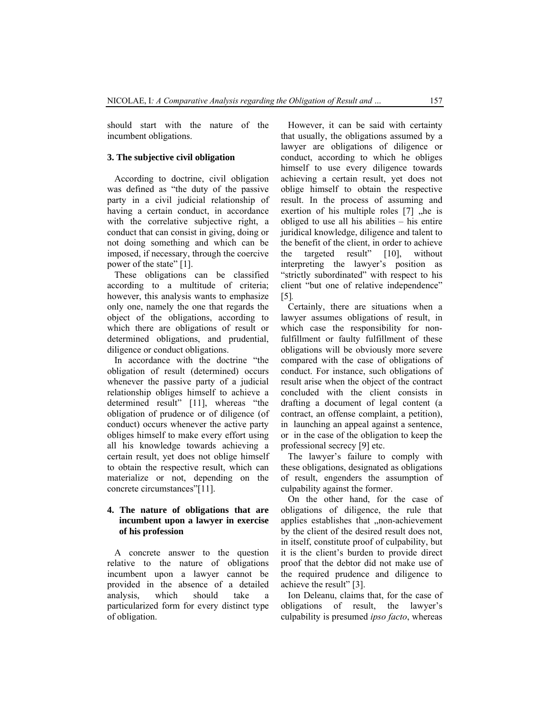should start with the nature of the incumbent obligations.

#### **3. The subjective civil obligation**

According to doctrine, civil obligation was defined as "the duty of the passive party in a civil judicial relationship of having a certain conduct, in accordance with the correlative subjective right, a conduct that can consist in giving, doing or not doing something and which can be imposed, if necessary, through the coercive power of the state" [1].

These obligations can be classified according to a multitude of criteria; however, this analysis wants to emphasize only one, namely the one that regards the object of the obligations, according to which there are obligations of result or determined obligations, and prudential, diligence or conduct obligations.

In accordance with the doctrine "the obligation of result (determined) occurs whenever the passive party of a judicial relationship obliges himself to achieve a determined result" [11], whereas "the obligation of prudence or of diligence (of conduct) occurs whenever the active party obliges himself to make every effort using all his knowledge towards achieving a certain result, yet does not oblige himself to obtain the respective result, which can materialize or not, depending on the concrete circumstances"[11].

## **4. The nature of obligations that are incumbent upon a lawyer in exercise of his profession**

A concrete answer to the question relative to the nature of obligations incumbent upon a lawyer cannot be provided in the absence of a detailed analysis, which should take a particularized form for every distinct type of obligation.

However, it can be said with certainty that usually, the obligations assumed by a lawyer are obligations of diligence or conduct, according to which he obliges himself to use every diligence towards achieving a certain result, yet does not oblige himself to obtain the respective result. In the process of assuming and exertion of his multiple roles  $[7]$ , he is obliged to use all his abilities – his entire juridical knowledge, diligence and talent to the benefit of the client, in order to achieve the targeted result" [10], without interpreting the lawyer's position as "strictly subordinated" with respect to his client "but one of relative independence" [5]*.*

Certainly, there are situations when a lawyer assumes obligations of result, in which case the responsibility for nonfulfillment or faulty fulfillment of these obligations will be obviously more severe compared with the case of obligations of conduct. For instance, such obligations of result arise when the object of the contract concluded with the client consists in drafting a document of legal content (a contract, an offense complaint, a petition), in launching an appeal against a sentence, or in the case of the obligation to keep the professional secrecy [9] etc.

The lawyer's failure to comply with these obligations, designated as obligations of result, engenders the assumption of culpability against the former.

On the other hand, for the case of obligations of diligence, the rule that applies establishes that "non-achievement by the client of the desired result does not, in itself, constitute proof of culpability, but it is the client's burden to provide direct proof that the debtor did not make use of the required prudence and diligence to achieve the result" [3].

Ion Deleanu, claims that, for the case of obligations of result, the lawyer's culpability is presumed *ipso facto*, whereas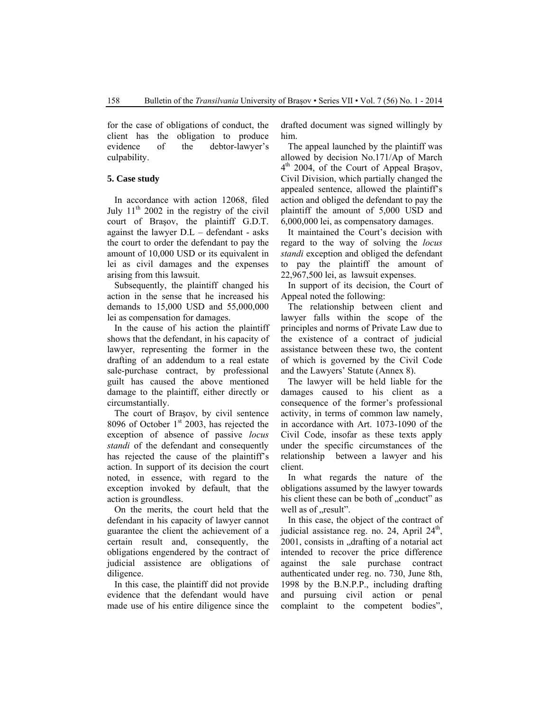for the case of obligations of conduct, the client has the obligation to produce evidence of the debtor-lawyer's culpability.

#### **5. Case study**

In accordance with action 12068, filed July  $11<sup>th</sup> 2002$  in the registry of the civil court of Braşov, the plaintiff G.D.T. against the lawyer D.L – defendant - asks the court to order the defendant to pay the amount of 10,000 USD or its equivalent in lei as civil damages and the expenses arising from this lawsuit.

Subsequently, the plaintiff changed his action in the sense that he increased his demands to 15,000 USD and 55,000,000 lei as compensation for damages.

In the cause of his action the plaintiff shows that the defendant, in his capacity of lawyer, representing the former in the drafting of an addendum to a real estate sale-purchase contract, by professional guilt has caused the above mentioned damage to the plaintiff, either directly or circumstantially.

The court of Braşov, by civil sentence 8096 of October  $1<sup>st</sup>$  2003, has rejected the exception of absence of passive *locus standi* of the defendant and consequently has rejected the cause of the plaintiff's action. In support of its decision the court noted, in essence, with regard to the exception invoked by default, that the action is groundless.

On the merits, the court held that the defendant in his capacity of lawyer cannot guarantee the client the achievement of a certain result and, consequently, the obligations engendered by the contract of judicial assistence are obligations of diligence.

In this case, the plaintiff did not provide evidence that the defendant would have made use of his entire diligence since the

drafted document was signed willingly by him.

The appeal launched by the plaintiff was allowed by decision No.171/Ap of March 4<sup>th</sup> 2004, of the Court of Appeal Brasov, Civil Division, which partially changed the appealed sentence, allowed the plaintiff's action and obliged the defendant to pay the plaintiff the amount of 5,000 USD and 6,000,000 lei, as compensatory damages.

It maintained the Court's decision with regard to the way of solving the *locus standi* exception and obliged the defendant to pay the plaintiff the amount of 22,967,500 lei, as lawsuit expenses.

In support of its decision, the Court of Appeal noted the following:

The relationship between client and lawyer falls within the scope of the principles and norms of Private Law due to the existence of a contract of judicial assistance between these two, the content of which is governed by the Civil Code and the Lawyers' Statute (Annex 8).

The lawyer will be held liable for the damages caused to his client as a consequence of the former's professional activity, in terms of common law namely, in accordance with Art. 1073-1090 of the Civil Code, insofar as these texts apply under the specific circumstances of the relationship between a lawyer and his client.

In what regards the nature of the obligations assumed by the lawyer towards his client these can be both of "conduct" as well as of "result".

In this case, the object of the contract of judicial assistance reg. no. 24, April  $24<sup>th</sup>$ , 2001, consists in "drafting of a notarial act intended to recover the price difference against the sale purchase contract authenticated under reg. no. 730, June 8th, 1998 by the B.N.P.P., including drafting and pursuing civil action or penal complaint to the competent bodies",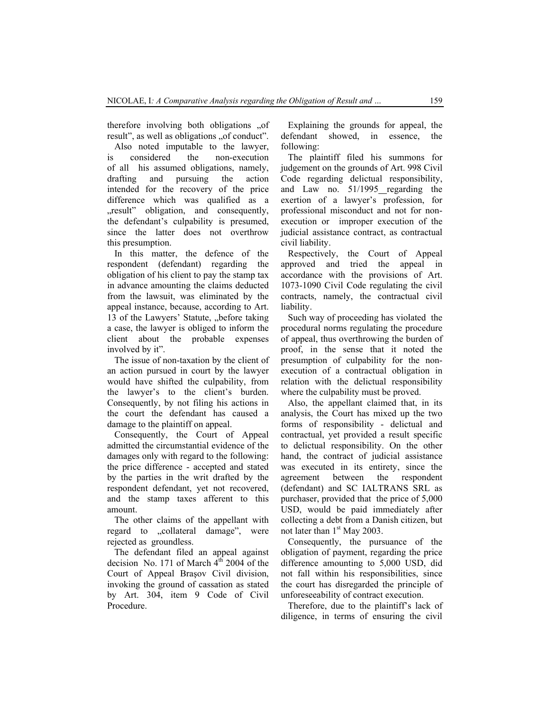therefore involving both obligations .of result", as well as obligations "of conduct".

Also noted imputable to the lawyer, is considered the non-execution of all his assumed obligations, namely, drafting and pursuing the action intended for the recovery of the price difference which was qualified as a "result" obligation, and consequently, the defendant's culpability is presumed, since the latter does not overthrow this presumption.

In this matter, the defence of the respondent (defendant) regarding the obligation of his client to pay the stamp tax in advance amounting the claims deducted from the lawsuit, was eliminated by the appeal instance, because, according to Art. 13 of the Lawyers' Statute, before taking a case, the lawyer is obliged to inform the client about the probable expenses involved by it".

The issue of non-taxation by the client of an action pursued in court by the lawyer would have shifted the culpability, from the lawyer's to the client's burden. Consequently, by not filing his actions in the court the defendant has caused a damage to the plaintiff on appeal.

Consequently, the Court of Appeal admitted the circumstantial evidence of the damages only with regard to the following: the price difference - accepted and stated by the parties in the writ drafted by the respondent defendant, yet not recovered, and the stamp taxes afferent to this amount.

The other claims of the appellant with regard to "collateral damage", were rejected as groundless.

The defendant filed an appeal against decision No. 171 of March  $4<sup>th</sup>$  2004 of the Court of Appeal Braşov Civil division, invoking the ground of cassation as stated by Art. 304, item 9 Code of Civil Procedure.

Explaining the grounds for appeal, the defendant showed, in essence, the following:

The plaintiff filed his summons for judgement on the grounds of Art. 998 Civil Code regarding delictual responsibility, and Law no. 51/1995 regarding the exertion of a lawyer's profession, for professional misconduct and not for nonexecution or improper execution of the judicial assistance contract, as contractual civil liability.

Respectively, the Court of Appeal approved and tried the appeal in accordance with the provisions of Art. 1073-1090 Civil Code regulating the civil contracts, namely, the contractual civil liability.

Such way of proceeding has violated the procedural norms regulating the procedure of appeal, thus overthrowing the burden of proof, in the sense that it noted the presumption of culpability for the nonexecution of a contractual obligation in relation with the delictual responsibility where the culpability must be proved.

Also, the appellant claimed that, in its analysis, the Court has mixed up the two forms of responsibility - delictual and contractual, yet provided a result specific to delictual responsibility. On the other hand, the contract of judicial assistance was executed in its entirety, since the agreement between the respondent (defendant) and SC IALTRANS SRL as purchaser, provided that the price of 5,000 USD, would be paid immediately after collecting a debt from a Danish citizen, but not later than  $1<sup>st</sup>$  May 2003.

Consequently, the pursuance of the obligation of payment, regarding the price difference amounting to 5,000 USD, did not fall within his responsibilities, since the court has disregarded the principle of unforeseeability of contract execution.

Therefore, due to the plaintiff's lack of diligence, in terms of ensuring the civil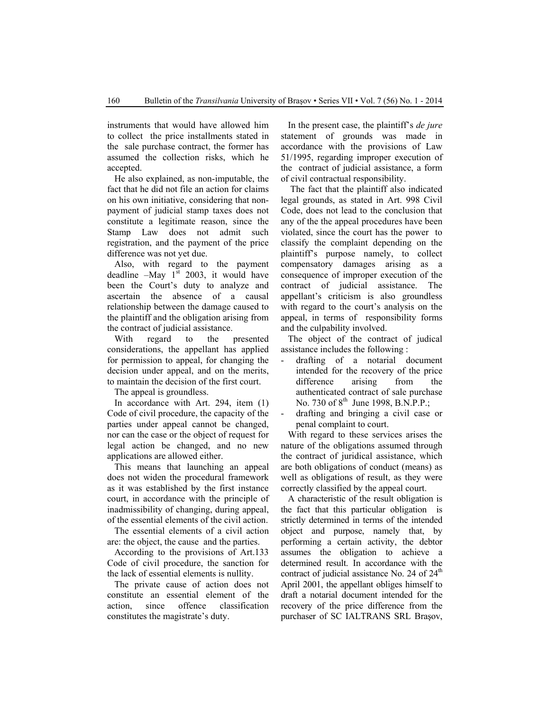instruments that would have allowed him to collect the price installments stated in the sale purchase contract, the former has assumed the collection risks, which he accepted.

He also explained, as non-imputable, the fact that he did not file an action for claims on his own initiative, considering that nonpayment of judicial stamp taxes does not constitute a legitimate reason, since the Stamp Law does not admit such registration, and the payment of the price difference was not yet due.

Also, with regard to the payment deadline  $-May$  1st 2003, it would have been the Court's duty to analyze and ascertain the absence of a causal relationship between the damage caused to the plaintiff and the obligation arising from the contract of judicial assistance.

With regard to the presented considerations, the appellant has applied for permission to appeal, for changing the decision under appeal, and on the merits, to maintain the decision of the first court.

The appeal is groundless.

In accordance with Art. 294, item (1) Code of civil procedure, the capacity of the parties under appeal cannot be changed, nor can the case or the object of request for legal action be changed, and no new applications are allowed either.

This means that launching an appeal does not widen the procedural framework as it was established by the first instance court, in accordance with the principle of inadmissibility of changing, during appeal, of the essential elements of the civil action.

The essential elements of a civil action are: the object, the cause and the parties.

According to the provisions of Art.133 Code of civil procedure, the sanction for the lack of essential elements is nullity.

The private cause of action does not constitute an essential element of the action, since offence classification constitutes the magistrate's duty.

In the present case, the plaintiff's *de jure* statement of grounds was made in accordance with the provisions of Law 51/1995, regarding improper execution of the contract of judicial assistance, a form of civil contractual responsibility.

 The fact that the plaintiff also indicated legal grounds, as stated in Art. 998 Civil Code, does not lead to the conclusion that any of the the appeal procedures have been violated, since the court has the power to classify the complaint depending on the plaintiff's purpose namely, to collect compensatory damages arising as a consequence of improper execution of the contract of judicial assistance. The appellant's criticism is also groundless with regard to the court's analysis on the appeal, in terms of responsibility forms and the culpability involved.

The object of the contract of judical assistance includes the following :

- drafting of a notarial document intended for the recovery of the price difference arising from the authenticated contract of sale purchase No. 730 of  $8^{th}$  June 1998, B.N.P.P.;
- drafting and bringing a civil case or penal complaint to court.

With regard to these services arises the nature of the obligations assumed through the contract of juridical assistance, which are both obligations of conduct (means) as well as obligations of result, as they were correctly classified by the appeal court.

A characteristic of the result obligation is the fact that this particular obligation is strictly determined in terms of the intended object and purpose, namely that, by performing a certain activity, the debtor assumes the obligation to achieve a determined result. In accordance with the contract of judicial assistance No. 24 of  $24<sup>th</sup>$ April 2001, the appellant obliges himself to draft a notarial document intended for the recovery of the price difference from the purchaser of SC IALTRANS SRL Braşov,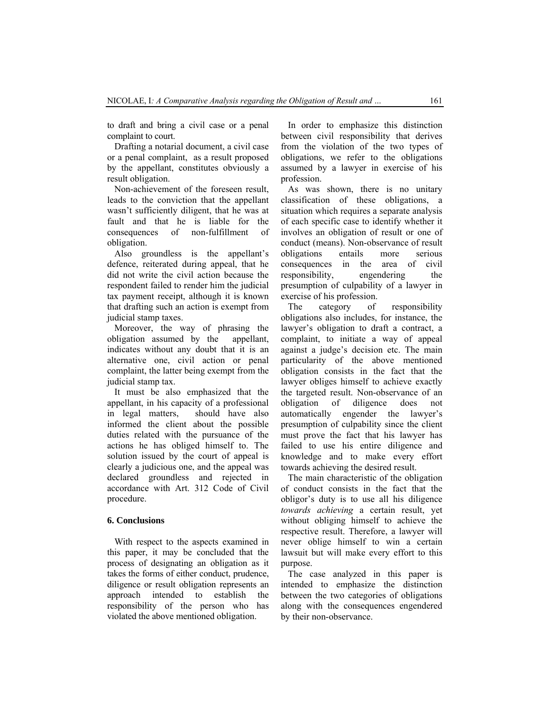to draft and bring a civil case or a penal complaint to court.

Drafting a notarial document, a civil case or a penal complaint, as a result proposed by the appellant, constitutes obviously a result obligation.

Non-achievement of the foreseen result, leads to the conviction that the appellant wasn't sufficiently diligent, that he was at fault and that he is liable for the consequences of non-fulfillment of obligation.

Also groundless is the appellant's defence, reiterated during appeal, that he did not write the civil action because the respondent failed to render him the judicial tax payment receipt, although it is known that drafting such an action is exempt from judicial stamp taxes.

Moreover, the way of phrasing the obligation assumed by the appellant, indicates without any doubt that it is an alternative one, civil action or penal complaint, the latter being exempt from the judicial stamp tax.

It must be also emphasized that the appellant, in his capacity of a professional in legal matters, should have also informed the client about the possible duties related with the pursuance of the actions he has obliged himself to. The solution issued by the court of appeal is clearly a judicious one, and the appeal was declared groundless and rejected in accordance with Art. 312 Code of Civil procedure.

### **6. Conclusions**

With respect to the aspects examined in this paper, it may be concluded that the process of designating an obligation as it takes the forms of either conduct, prudence, diligence or result obligation represents an approach intended to establish the responsibility of the person who has violated the above mentioned obligation.

In order to emphasize this distinction between civil responsibility that derives from the violation of the two types of obligations, we refer to the obligations assumed by a lawyer in exercise of his profession.

As was shown, there is no unitary classification of these obligations, a situation which requires a separate analysis of each specific case to identify whether it involves an obligation of result or one of conduct (means). Non-observance of result obligations entails more serious consequences in the area of civil responsibility, engendering the presumption of culpability of a lawyer in exercise of his profession.

The category of responsibility obligations also includes, for instance, the lawyer's obligation to draft a contract, a complaint, to initiate a way of appeal against a judge's decision etc. The main particularity of the above mentioned obligation consists in the fact that the lawyer obliges himself to achieve exactly the targeted result. Non-observance of an obligation of diligence does not automatically engender the lawyer's presumption of culpability since the client must prove the fact that his lawyer has failed to use his entire diligence and knowledge and to make every effort towards achieving the desired result.

The main characteristic of the obligation of conduct consists in the fact that the obligor's duty is to use all his diligence *towards achieving* a certain result, yet without obliging himself to achieve the respective result. Therefore, a lawyer will never oblige himself to win a certain lawsuit but will make every effort to this purpose.

The case analyzed in this paper is intended to emphasize the distinction between the two categories of obligations along with the consequences engendered by their non-observance.